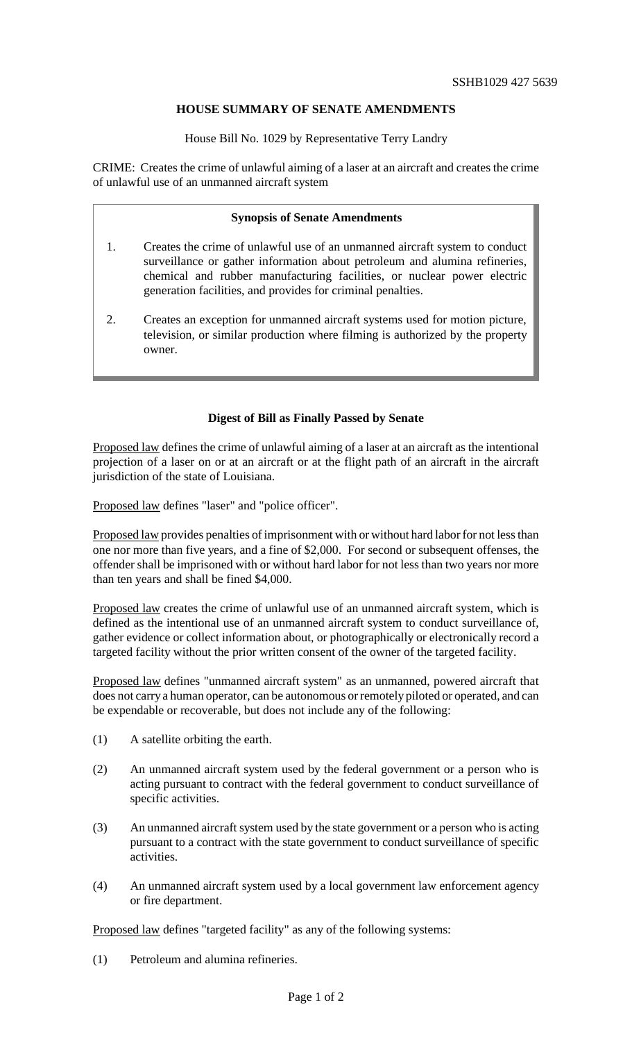## **HOUSE SUMMARY OF SENATE AMENDMENTS**

House Bill No. 1029 by Representative Terry Landry

CRIME: Creates the crime of unlawful aiming of a laser at an aircraft and creates the crime of unlawful use of an unmanned aircraft system

## **Synopsis of Senate Amendments**

- 1. Creates the crime of unlawful use of an unmanned aircraft system to conduct surveillance or gather information about petroleum and alumina refineries, chemical and rubber manufacturing facilities, or nuclear power electric generation facilities, and provides for criminal penalties.
- 2. Creates an exception for unmanned aircraft systems used for motion picture, television, or similar production where filming is authorized by the property owner.

## **Digest of Bill as Finally Passed by Senate**

Proposed law defines the crime of unlawful aiming of a laser at an aircraft as the intentional projection of a laser on or at an aircraft or at the flight path of an aircraft in the aircraft jurisdiction of the state of Louisiana.

Proposed law defines "laser" and "police officer".

Proposed law provides penalties of imprisonment with or without hard labor for not less than one nor more than five years, and a fine of \$2,000. For second or subsequent offenses, the offender shall be imprisoned with or without hard labor for not less than two years nor more than ten years and shall be fined \$4,000.

Proposed law creates the crime of unlawful use of an unmanned aircraft system, which is defined as the intentional use of an unmanned aircraft system to conduct surveillance of, gather evidence or collect information about, or photographically or electronically record a targeted facility without the prior written consent of the owner of the targeted facility.

Proposed law defines "unmanned aircraft system" as an unmanned, powered aircraft that does not carry a human operator, can be autonomous or remotely piloted or operated, and can be expendable or recoverable, but does not include any of the following:

- (1) A satellite orbiting the earth.
- (2) An unmanned aircraft system used by the federal government or a person who is acting pursuant to contract with the federal government to conduct surveillance of specific activities.
- (3) An unmanned aircraft system used by the state government or a person who is acting pursuant to a contract with the state government to conduct surveillance of specific activities.
- (4) An unmanned aircraft system used by a local government law enforcement agency or fire department.

Proposed law defines "targeted facility" as any of the following systems:

(1) Petroleum and alumina refineries.